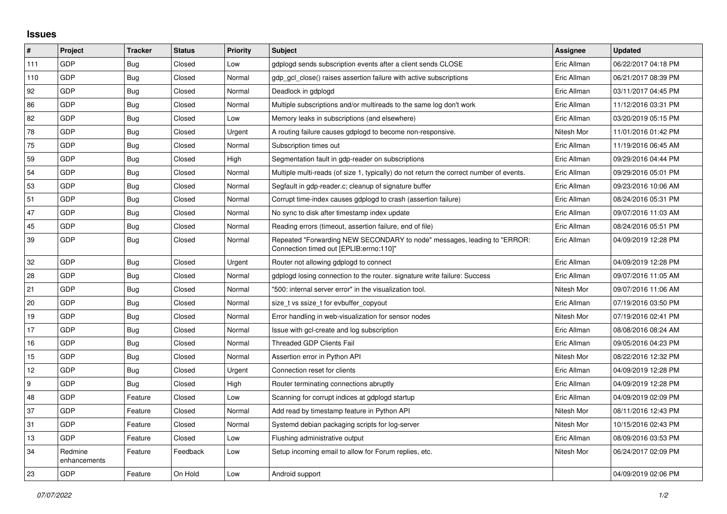## **Issues**

| #   | Project                 | <b>Tracker</b> | <b>Status</b> | <b>Priority</b> | <b>Subject</b>                                                                                                      | Assignee    | <b>Updated</b>      |
|-----|-------------------------|----------------|---------------|-----------------|---------------------------------------------------------------------------------------------------------------------|-------------|---------------------|
| 111 | GDP                     | Bug            | Closed        | Low             | gdplogd sends subscription events after a client sends CLOSE                                                        | Eric Allman | 06/22/2017 04:18 PM |
| 110 | GDP                     | <b>Bug</b>     | Closed        | Normal          | gdp gcl close() raises assertion failure with active subscriptions                                                  | Eric Allman | 06/21/2017 08:39 PM |
| 92  | GDP                     | <b>Bug</b>     | Closed        | Normal          | Deadlock in gdplogd                                                                                                 | Eric Allman | 03/11/2017 04:45 PM |
| 86  | GDP                     | Bug            | Closed        | Normal          | Multiple subscriptions and/or multireads to the same log don't work                                                 | Eric Allman | 11/12/2016 03:31 PM |
| 82  | GDP                     | <b>Bug</b>     | Closed        | Low             | Memory leaks in subscriptions (and elsewhere)                                                                       | Eric Allman | 03/20/2019 05:15 PM |
| 78  | GDP                     | <b>Bug</b>     | Closed        | Urgent          | A routing failure causes gdplogd to become non-responsive.                                                          | Nitesh Mor  | 11/01/2016 01:42 PM |
| 75  | GDP                     | Bug            | Closed        | Normal          | Subscription times out                                                                                              | Eric Allman | 11/19/2016 06:45 AM |
| 59  | GDP                     | <b>Bug</b>     | Closed        | High            | Segmentation fault in gdp-reader on subscriptions                                                                   | Eric Allman | 09/29/2016 04:44 PM |
| 54  | GDP                     | <b>Bug</b>     | Closed        | Normal          | Multiple multi-reads (of size 1, typically) do not return the correct number of events.                             | Eric Allman | 09/29/2016 05:01 PM |
| 53  | GDP                     | Bug            | Closed        | Normal          | Segfault in gdp-reader.c; cleanup of signature buffer                                                               | Eric Allman | 09/23/2016 10:06 AM |
| 51  | GDP                     | Bug            | Closed        | Normal          | Corrupt time-index causes gdplogd to crash (assertion failure)                                                      | Eric Allman | 08/24/2016 05:31 PM |
| 47  | GDP                     | Bug            | Closed        | Normal          | No sync to disk after timestamp index update                                                                        | Eric Allman | 09/07/2016 11:03 AM |
| 45  | GDP                     | <b>Bug</b>     | Closed        | Normal          | Reading errors (timeout, assertion failure, end of file)                                                            | Eric Allman | 08/24/2016 05:51 PM |
| 39  | GDP                     | Bug            | Closed        | Normal          | Repeated "Forwarding NEW SECONDARY to node" messages, leading to "ERROR:<br>Connection timed out [EPLIB:errno:110]" | Eric Allman | 04/09/2019 12:28 PM |
| 32  | GDP                     | Bug            | Closed        | Urgent          | Router not allowing gdplogd to connect                                                                              | Eric Allman | 04/09/2019 12:28 PM |
| 28  | GDP                     | <b>Bug</b>     | Closed        | Normal          | gdplogd losing connection to the router. signature write failure: Success                                           | Eric Allman | 09/07/2016 11:05 AM |
| 21  | GDP                     | <b>Bug</b>     | Closed        | Normal          | '500: internal server error" in the visualization tool.                                                             | Nitesh Mor  | 09/07/2016 11:06 AM |
| 20  | GDP                     | Bug            | Closed        | Normal          | size t vs ssize t for evbuffer copyout                                                                              | Eric Allman | 07/19/2016 03:50 PM |
| 19  | GDP                     | <b>Bug</b>     | Closed        | Normal          | Error handling in web-visualization for sensor nodes                                                                | Nitesh Mor  | 07/19/2016 02:41 PM |
| 17  | GDP                     | Bug            | Closed        | Normal          | Issue with gcl-create and log subscription                                                                          | Eric Allman | 08/08/2016 08:24 AM |
| 16  | GDP                     | <b>Bug</b>     | Closed        | Normal          | Threaded GDP Clients Fail                                                                                           | Eric Allman | 09/05/2016 04:23 PM |
| 15  | GDP                     | Bug            | Closed        | Normal          | Assertion error in Python API                                                                                       | Nitesh Mor  | 08/22/2016 12:32 PM |
| 12  | GDP                     | Bug            | Closed        | Urgent          | Connection reset for clients                                                                                        | Eric Allman | 04/09/2019 12:28 PM |
| 9   | GDP                     | Bug            | Closed        | High            | Router terminating connections abruptly                                                                             | Eric Allman | 04/09/2019 12:28 PM |
| 48  | GDP                     | Feature        | Closed        | Low             | Scanning for corrupt indices at gdplogd startup                                                                     | Eric Allman | 04/09/2019 02:09 PM |
| 37  | GDP                     | Feature        | Closed        | Normal          | Add read by timestamp feature in Python API                                                                         | Nitesh Mor  | 08/11/2016 12:43 PM |
| 31  | GDP                     | Feature        | Closed        | Normal          | Systemd debian packaging scripts for log-server                                                                     | Nitesh Mor  | 10/15/2016 02:43 PM |
| 13  | GDP                     | Feature        | Closed        | Low             | Flushing administrative output                                                                                      | Eric Allman | 08/09/2016 03:53 PM |
| 34  | Redmine<br>enhancements | Feature        | Feedback      | Low             | Setup incoming email to allow for Forum replies, etc.                                                               | Nitesh Mor  | 06/24/2017 02:09 PM |
| 23  | GDP                     | Feature        | On Hold       | Low             | Android support                                                                                                     |             | 04/09/2019 02:06 PM |